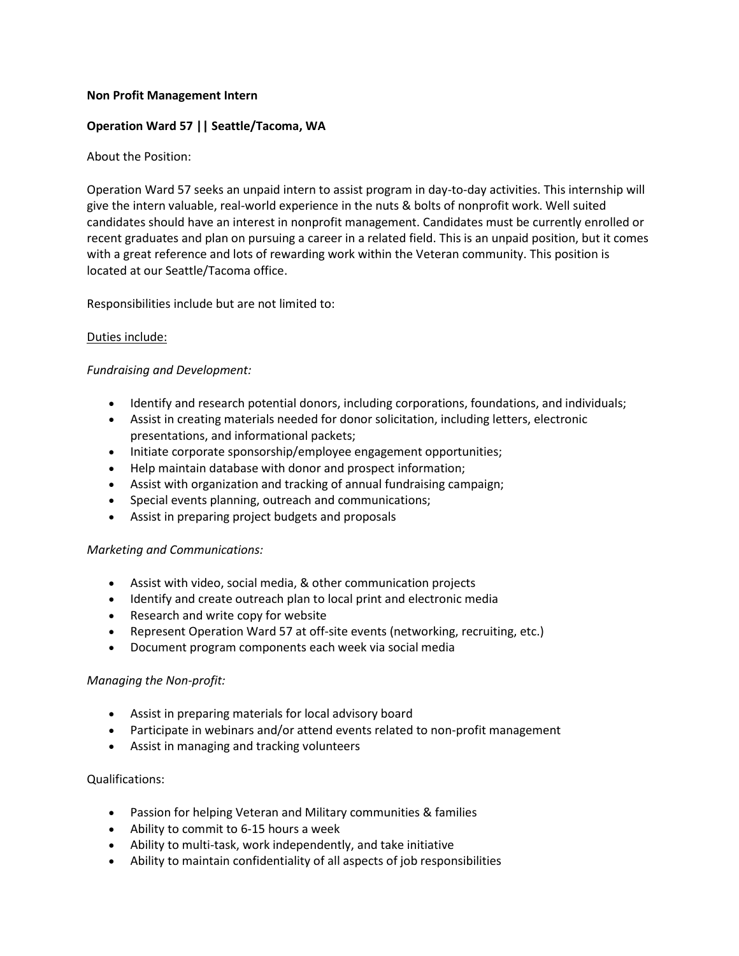## **Non Profit Management Intern**

# **Operation Ward 57 || Seattle/Tacoma, WA**

# About the Position:

Operation Ward 57 seeks an unpaid intern to assist program in day-to-day activities. This internship will give the intern valuable, real-world experience in the nuts & bolts of nonprofit work. Well suited candidates should have an interest in nonprofit management. Candidates must be currently enrolled or recent graduates and plan on pursuing a career in a related field. This is an unpaid position, but it comes with a great reference and lots of rewarding work within the Veteran community. This position is located at our Seattle/Tacoma office.

Responsibilities include but are not limited to:

# Duties include:

### *Fundraising and Development:*

- Identify and research potential donors, including corporations, foundations, and individuals;
- Assist in creating materials needed for donor solicitation, including letters, electronic presentations, and informational packets;
- Initiate corporate sponsorship/employee engagement opportunities;
- Help maintain database with donor and prospect information;
- Assist with organization and tracking of annual fundraising campaign;
- Special events planning, outreach and communications;
- Assist in preparing project budgets and proposals

### *Marketing and Communications:*

- Assist with video, social media, & other communication projects
- Identify and create outreach plan to local print and electronic media
- Research and write copy for website
- Represent Operation Ward 57 at off-site events (networking, recruiting, etc.)
- Document program components each week via social media

### *Managing the Non-profit:*

- Assist in preparing materials for local advisory board
- Participate in webinars and/or attend events related to non-profit management
- Assist in managing and tracking volunteers

### Qualifications:

- Passion for helping Veteran and Military communities & families
- Ability to commit to 6-15 hours a week
- Ability to multi-task, work independently, and take initiative
- Ability to maintain confidentiality of all aspects of job responsibilities